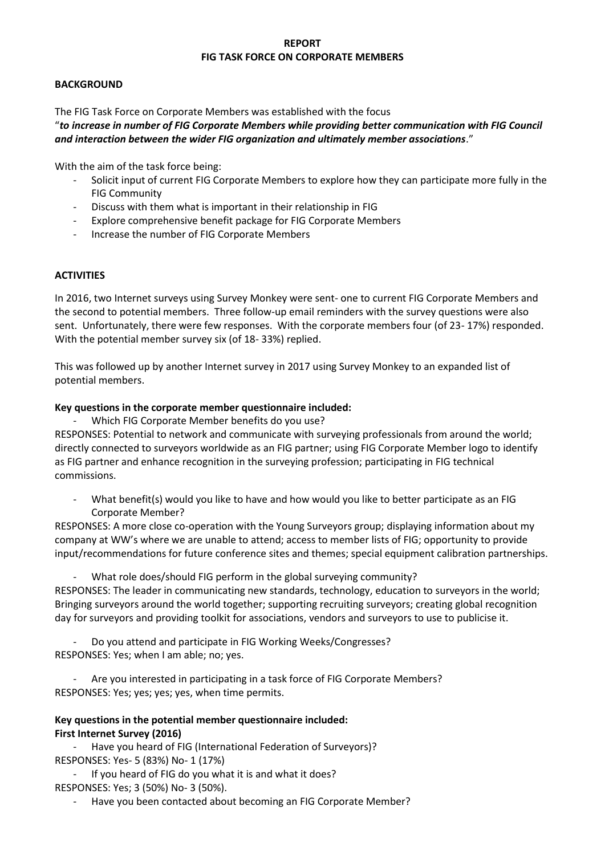### **REPORT FIG TASK FORCE ON CORPORATE MEMBERS**

#### **BACKGROUND**

The FIG Task Force on Corporate Members was established with the focus

"*to increase in number of FIG Corporate Members while providing better communication with FIG Council and interaction between the wider FIG organization and ultimately member associations*."

With the aim of the task force being:

- Solicit input of current FIG Corporate Members to explore how they can participate more fully in the FIG Community
- Discuss with them what is important in their relationship in FIG
- Explore comprehensive benefit package for FIG Corporate Members
- Increase the number of FIG Corporate Members

# **ACTIVITIES**

In 2016, two Internet surveys using Survey Monkey were sent- one to current FIG Corporate Members and the second to potential members. Three follow-up email reminders with the survey questions were also sent. Unfortunately, there were few responses. With the corporate members four (of 23- 17%) responded. With the potential member survey six (of 18- 33%) replied.

This was followed up by another Internet survey in 2017 using Survey Monkey to an expanded list of potential members.

### **Key questions in the corporate member questionnaire included:**

- Which FIG Corporate Member benefits do you use?

RESPONSES: Potential to network and communicate with surveying professionals from around the world; directly connected to surveyors worldwide as an FIG partner; using FIG Corporate Member logo to identify as FIG partner and enhance recognition in the surveying profession; participating in FIG technical commissions.

What benefit(s) would you like to have and how would you like to better participate as an FIG Corporate Member?

RESPONSES: A more close co-operation with the Young Surveyors group; displaying information about my company at WW's where we are unable to attend; access to member lists of FIG; opportunity to provide input/recommendations for future conference sites and themes; special equipment calibration partnerships.

What role does/should FIG perform in the global surveying community? RESPONSES: The leader in communicating new standards, technology, education to surveyors in the world; Bringing surveyors around the world together; supporting recruiting surveyors; creating global recognition day for surveyors and providing toolkit for associations, vendors and surveyors to use to publicise it.

Do you attend and participate in FIG Working Weeks/Congresses? RESPONSES: Yes; when I am able; no; yes.

Are you interested in participating in a task force of FIG Corporate Members? RESPONSES: Yes; yes; yes; yes, when time permits.

# **Key questions in the potential member questionnaire included: First Internet Survey (2016)**

Have you heard of FIG (International Federation of Surveyors)? RESPONSES: Yes- 5 (83%) No- 1 (17%)

- If you heard of FIG do you what it is and what it does? RESPONSES: Yes; 3 (50%) No- 3 (50%).

Have you been contacted about becoming an FIG Corporate Member?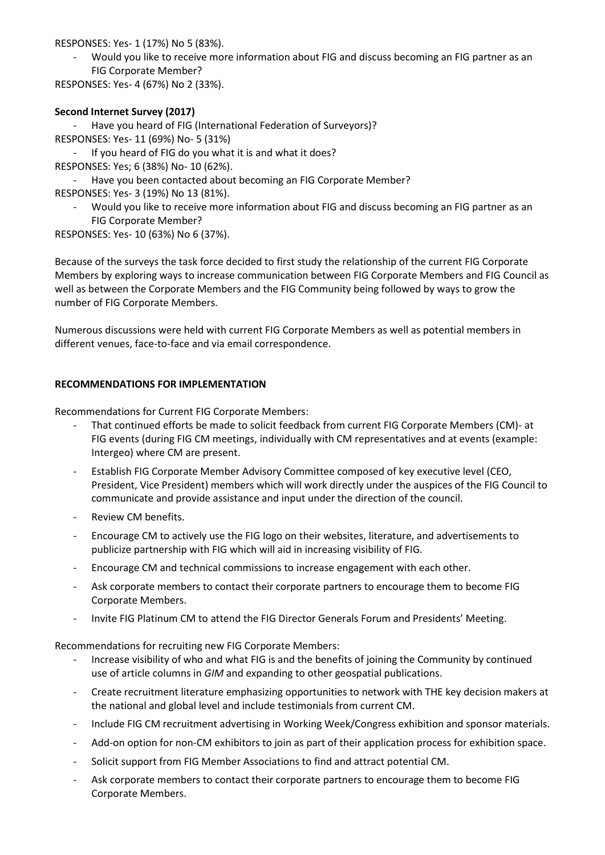RESPONSES: Yes- 1 (17%) No 5 (83%).

- Would you like to receive more information about FIG and discuss becoming an FIG partner as an FIG Corporate Member?

RESPONSES: Yes- 4 (67%) No 2 (33%).

## **Second Internet Survey (2017)**

- Have you heard of FIG (International Federation of Surveyors)?

RESPONSES: Yes- 11 (69%) No- 5 (31%)

- If you heard of FIG do you what it is and what it does?

RESPONSES: Yes; 6 (38%) No- 10 (62%).

- Have you been contacted about becoming an FIG Corporate Member?

RESPONSES: Yes- 3 (19%) No 13 (81%).

- Would you like to receive more information about FIG and discuss becoming an FIG partner as an FIG Corporate Member?

RESPONSES: Yes- 10 (63%) No 6 (37%).

Because of the surveys the task force decided to first study the relationship of the current FIG Corporate Members by exploring ways to increase communication between FIG Corporate Members and FIG Council as well as between the Corporate Members and the FIG Community being followed by ways to grow the number of FIG Corporate Members.

Numerous discussions were held with current FIG Corporate Members as well as potential members in different venues, face-to-face and via email correspondence.

### **RECOMMENDATIONS FOR IMPLEMENTATION**

Recommendations for Current FIG Corporate Members:

- That continued efforts be made to solicit feedback from current FIG Corporate Members (CM)- at FIG events (during FIG CM meetings, individually with CM representatives and at events (example: Intergeo) where CM are present.
- Establish FIG Corporate Member Advisory Committee composed of key executive level (CEO, President, Vice President) members which will work directly under the auspices of the FIG Council to communicate and provide assistance and input under the direction of the council.
- Review CM benefits.
- Encourage CM to actively use the FIG logo on their websites, literature, and advertisements to publicize partnership with FIG which will aid in increasing visibility of FIG.
- Encourage CM and technical commissions to increase engagement with each other.
- Ask corporate members to contact their corporate partners to encourage them to become FIG Corporate Members.
- Invite FIG Platinum CM to attend the FIG Director Generals Forum and Presidents' Meeting.

Recommendations for recruiting new FIG Corporate Members:

- Increase visibility of who and what FIG is and the benefits of joining the Community by continued use of article columns in *GIM* and expanding to other geospatial publications.
- Create recruitment literature emphasizing opportunities to network with THE key decision makers at the national and global level and include testimonials from current CM.
- Include FIG CM recruitment advertising in Working Week/Congress exhibition and sponsor materials.
- Add-on option for non-CM exhibitors to join as part of their application process for exhibition space.
- Solicit support from FIG Member Associations to find and attract potential CM.
- Ask corporate members to contact their corporate partners to encourage them to become FIG Corporate Members.